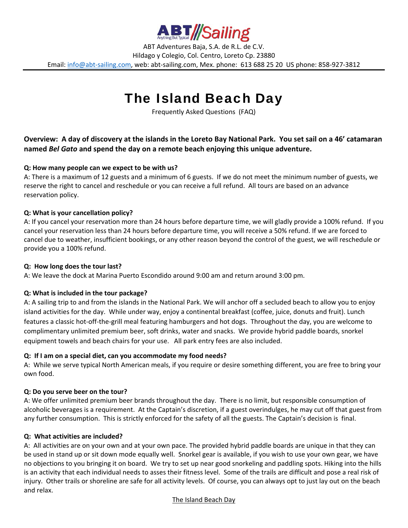

ABT Adventures Baja, S.A. de R.L. de C.V. Hildago y Colegio, Col. Centro, Loreto Cp. 23880 Email: info@abt-sailing.com, web: abt-sailing.com, Mex. phone: 613 688 25 20 US phone: 858-927-3812

# The Island Beach Day

Frequently Asked Questions (FAQ)

## Overview: A day of discovery at the islands in the Loreto Bay National Park. You set sail on a 46' catamaran **named** *Bel Gato* **and spend the day on a remote beach enjoying this unique adventure.**

## **Q: How many people can we expect to be with us?**

A: There is a maximum of 12 guests and a minimum of 6 guests. If we do not meet the minimum number of guests, we reserve the right to cancel and reschedule or you can receive a full refund. All tours are based on an advance reservation policy.

## **Q: What is your cancellation policy?**

A: If you cancel your reservation more than 24 hours before departure time, we will gladly provide a 100% refund. If you cancel your reservation less than 24 hours before departure time, you will receive a 50% refund. If we are forced to cancel due to weather, insufficient bookings, or any other reason beyond the control of the guest, we will reschedule or provide you a 100% refund.

#### **Q: How long does the tour last?**

A: We leave the dock at Marina Puerto Escondido around 9:00 am and return around 3:00 pm.

## **Q: What is included in the tour package?**

A: A sailing trip to and from the islands in the National Park. We will anchor off a secluded beach to allow you to enjoy island activities for the day. While under way, enjoy a continental breakfast (coffee, juice, donuts and fruit). Lunch features a classic hot-off-the-grill meal featuring hamburgers and hot dogs. Throughout the day, you are welcome to complimentary unlimited premium beer, soft drinks, water and snacks. We provide hybrid paddle boards, snorkel equipment towels and beach chairs for your use. All park entry fees are also included.

## **Q: If I am on a special diet, can you accommodate my food needs?**

A: While we serve typical North American meals, if you require or desire something different, you are free to bring your own food.

#### **Q: Do you serve beer on the tour?**

A: We offer unlimited premium beer brands throughout the day. There is no limit, but responsible consumption of alcoholic beverages is a requirement. At the Captain's discretion, if a guest overindulges, he may cut off that guest from any further consumption. This is strictly enforced for the safety of all the guests. The Captain's decision is final.

#### **Q: What activities are included?**

A: All activities are on your own and at your own pace. The provided hybrid paddle boards are unique in that they can be used in stand up or sit down mode equally well. Snorkel gear is available, if you wish to use your own gear, we have no objections to you bringing it on board. We try to set up near good snorkeling and paddling spots. Hiking into the hills is an activity that each individual needs to asses their fitness level. Some of the trails are difficult and pose a real risk of injury. Other trails or shoreline are safe for all activity levels. Of course, you can always opt to just lay out on the beach and relax.

#### The Island Beach Day